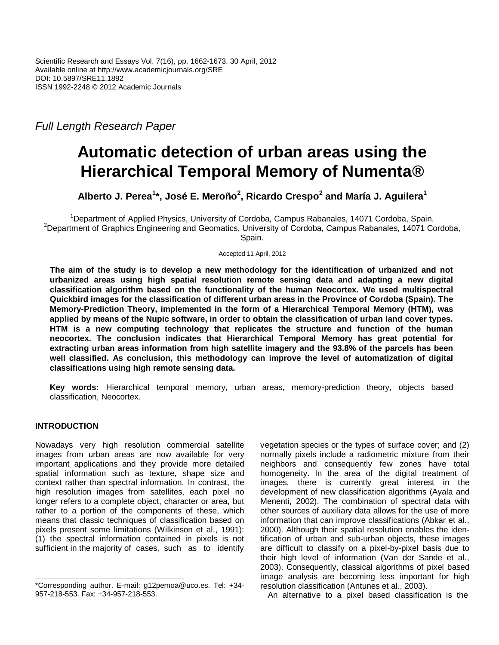*Full Length Research Paper*

# **Automatic detection of urban areas using the Hierarchical Temporal Memory of Numenta®**

**Alberto J. Perea<sup>1</sup> \*, José E. Meroño<sup>2</sup> , Ricardo Crespo<sup>2</sup> and María J. Aguilera<sup>1</sup>**

<sup>1</sup>Department of Applied Physics, University of Cordoba, Campus Rabanales, 14071 Cordoba, Spain. <sup>2</sup>Department of Graphics Engineering and Geomatics, University of Cordoba, Campus Rabanales, 14071 Cordoba, Spain.

Accepted 11 April, 2012

**The aim of the study is to develop a new methodology for the identification of urbanized and not urbanized areas using high spatial resolution remote sensing data and adapting a new digital classification algorithm based on the functionality of the human Neocortex. We used multispectral Quickbird images for the classification of different urban areas in the Province of Cordoba (Spain). The Memory-Prediction Theory, implemented in the form of a Hierarchical Temporal Memory (HTM), was applied by means of the Nupic software, in order to obtain the classification of urban land cover types. HTM is a new computing technology that replicates the structure and function of the human neocortex. The conclusion indicates that Hierarchical Temporal Memory has great potential for extracting urban areas information from high satellite imagery and the 93.8% of the parcels has been well classified. As conclusion, this methodology can improve the level of automatization of digital classifications using high remote sensing data.**

**Key words:** Hierarchical temporal memory, urban areas, memory-prediction theory, objects based classification, Neocortex.

# **INTRODUCTION**

Nowadays very high resolution commercial satellite images from urban areas are now available for very important applications and they provide more detailed spatial information such as texture, shape size and context rather than spectral information. In contrast, the high resolution images from satellites, each pixel no longer refers to a complete object, character or area, but rather to a portion of the components of these, which means that classic techniques of classification based on pixels present some limitations (Wilkinson et al., 1991): (1) the spectral information contained in pixels is not sufficient in the majority of cases, such as to identify

vegetation species or the types of surface cover; and (2) normally pixels include a radiometric mixture from their neighbors and consequently few zones have total homogeneity. In the area of the digital treatment of images, there is currently great interest in the development of new classification algorithms (Ayala and Menenti, 2002). The combination of spectral data with other sources of auxiliary data allows for the use of more information that can improve classifications (Abkar et al., 2000). Although their spatial resolution enables the identification of urban and sub-urban objects, these images are difficult to classify on a pixel-by-pixel basis due to their high level of information (Van der Sande et al., 2003). Consequently, classical algorithms of pixel based image analysis are becoming less important for high resolution classification (Antunes et al., 2003).

An alternative to a pixel based classification is the

<sup>\*</sup>Corresponding author. E-mail: g12pemoa@uco.es. Tel: +34- 957-218-553. Fax: +34-957-218-553.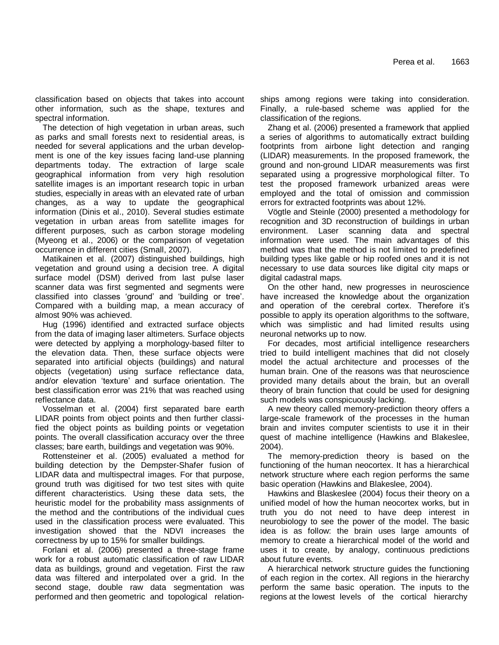classification based on objects that takes into account other information, such as the shape, textures and spectral information.

The detection of high vegetation in urban areas, such as parks and small forests next to residential areas, is needed for several applications and the urban development is one of the key issues facing land-use planning departments today. The extraction of large scale geographical information from very high resolution satellite images is an important research topic in urban studies, especially in areas with an elevated rate of urban changes, as a way to update the geographical information (Dinis et al., 2010). Several studies estimate vegetation in urban areas from satellite images for different purposes, such as carbon storage modeling (Myeong et al., 2006) or the comparison of vegetation occurrence in different cities (Small, 2007).

Matikainen et al. (2007) distinguished buildings, high vegetation and ground using a decision tree. A digital surface model (DSM) derived from last pulse laser scanner data was first segmented and segments were classified into classes 'ground' and 'building or tree'. Compared with a building map, a mean accuracy of almost 90% was achieved.

Hug (1996) identified and extracted surface objects from the data of imaging laser altimeters. Surface objects were detected by applying a morphology-based filter to the elevation data. Then, these surface objects were separated into artificial objects (buildings) and natural objects (vegetation) using surface reflectance data, and/or elevation 'texture' and surface orientation. The best classification error was 21% that was reached using reflectance data.

Vosselman et al. (2004) first separated bare earth LIDAR points from object points and then further classified the object points as building points or vegetation points. The overall classification accuracy over the three classes; bare earth, buildings and vegetation was 90%.

Rottensteiner et al. (2005) evaluated a method for building detection by the Dempster-Shafer fusion of LIDAR data and multispectral images. For that purpose, ground truth was digitised for two test sites with quite different characteristics. Using these data sets, the heuristic model for the probability mass assignments of the method and the contributions of the individual cues used in the classification process were evaluated. This investigation showed that the NDVI increases the correctness by up to 15% for smaller buildings.

Forlani et al. (2006) presented a three-stage frame work for a robust automatic classification of raw LIDAR data as buildings, ground and vegetation. First the raw data was filtered and interpolated over a grid. In the second stage, double raw data segmentation was performed and then geometric and topological relationships among regions were taking into consideration. Finally, a rule-based scheme was applied for the classification of the regions.

Zhang et al. (2006) presented a framework that applied a series of algorithms to automatically extract building footprints from airbone light detection and ranging (LIDAR) measurements. In the proposed framework, the ground and non-ground LIDAR measurements was first separated using a progressive morphological filter. To test the proposed framework urbanized areas were employed and the total of omission and commission errors for extracted footprints was about 12%.

Vögtle and Steinle (2000) presented a methodology for recognition and 3D reconstruction of buildings in urban environment. Laser scanning data and spectral information were used. The main advantages of this method was that the method is not limited to predefined building types like gable or hip roofed ones and it is not necessary to use data sources like digital city maps or digital cadastral maps.

On the other hand, new progresses in neuroscience have increased the knowledge about the organization and operation of the cerebral cortex. Therefore it's possible to apply its operation algorithms to the software, which was simplistic and had limited results using neuronal networks up to now.

For decades, most artificial intelligence researchers tried to build intelligent machines that did not closely model the actual architecture and processes of the human brain. One of the reasons was that neuroscience provided many details about the brain, but an overall theory of brain function that could be used for designing such models was conspicuously lacking.

A new theory called memory-prediction theory offers a large-scale framework of the processes in the human brain and invites computer scientists to use it in their quest of machine intelligence (Hawkins and Blakeslee, 2004).

The memory-prediction theory is based on the functioning of the human neocortex. It has a hierarchical network structure where each region performs the same basic operation (Hawkins and Blakeslee, 2004).

Hawkins and Blaskeslee (2004) focus their theory on a unified model of how the human neocortex works, but in truth you do not need to have deep interest in neurobiology to see the power of the model. The basic idea is as follow: the brain uses large amounts of memory to create a hierarchical model of the world and uses it to create, by analogy, continuous predictions about future events.

A hierarchical network structure guides the functioning of each region in the cortex. All regions in the hierarchy perform the same basic operation. The inputs to the regions at the lowest levels of the cortical hierarchy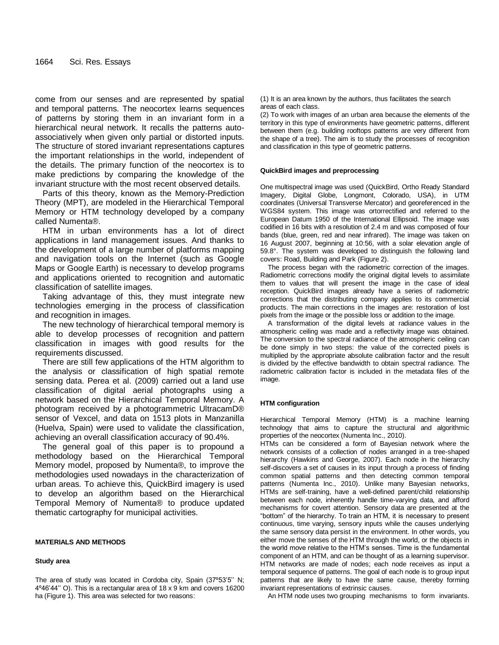come from our senses and are represented by spatial and temporal patterns. The neocortex learns sequences of patterns by storing them in an invariant form in a hierarchical neural network. It recalls the patterns autoassociatively when given only partial or distorted inputs. The structure of stored invariant representations captures the important relationships in the world, independent of the details. The primary function of the neocortex is to make predictions by comparing the knowledge of the invariant structure with the most recent observed details.

Parts of this theory, known as the Memory-Prediction Theory (MPT), are modeled in the Hierarchical Temporal Memory or HTM technology developed by a company called Numenta®.

HTM in urban environments has a lot of direct applications in land management issues. And thanks to the development of a large number of platforms mapping and navigation tools on the Internet (such as Google Maps or Google Earth) is necessary to develop programs and applications oriented to recognition and automatic classification of satellite images.

Taking advantage of this, they must integrate new technologies emerging in the process of classification and recognition in images.

The new technology of hierarchical temporal memory is able to develop processes of recognition and pattern classification in images with good results for the requirements discussed.

There are still few applications of the HTM algorithm to the analysis or classification of high spatial remote sensing data. Perea et al. (2009) carried out a land use classification of digital aerial photographs using a network based on the Hierarchical Temporal Memory. A photogram received by a photogrammetric UltracamD® sensor of Vexcel, and data on 1513 plots in Manzanilla (Huelva, Spain) were used to validate the classification, achieving an overall classification accuracy of 90.4%.

The general goal of this paper is to propound a methodology based on the Hierarchical Temporal Memory model, proposed by Numenta®, to improve the methodologies used nowadays in the characterization of urban areas. To achieve this, QuickBird imagery is used to develop an algorithm based on the Hierarchical Temporal Memory of Numenta® to produce updated thematic cartography for municipal activities.

#### **MATERIALS AND METHODS**

#### **Study area**

The area of study was located in Cordoba city, Spain (37º53'5'' N; 4º46'44'' O). This is a rectangular area of 18 x 9 km and covers 16200 ha (Figure 1). This area was selected for two reasons:

(1) It is an area known by the authors, thus facilitates the search areas of each class.

(2) To work with images of an urban area because the elements of the territory in this type of environments have geometric patterns, different between them (e.g. building rooftops patterns are very different from the shape of a tree). The aim is to study the processes of recognition and classification in this type of geometric patterns.

#### **QuickBird images and preprocessing**

One multispectral image was used (QuickBird, Ortho Ready Standard Imagery, Digital Globe, Longmont, Colorado, USA), in UTM coordinates (Universal Transverse Mercator) and georeferenced in the WGS84 system. This image was ortorrectified and referred to the European Datum 1950 of the International Ellipsoid. The image was codified in 16 bits with a resolution of 2.4 m and was composed of four bands (blue, green, red and near infrared). The image was taken on 16 August 2007, beginning at 10:56, with a solar elevation angle of 59.8°. The system was developed to distinguish the following land covers: Road, Building and Park (Figure 2).

The process began with the radiometric correction of the images. Radiometric corrections modify the original digital levels to assimilate them to values that will present the image in the case of ideal reception. QuickBird images already have a series of radiometric corrections that the distributing company applies to its commercial products. The main corrections in the images are: restoration of lost pixels from the image or the possible loss or addition to the image.

A transformation of the digital levels at radiance values in the atmospheric ceiling was made and a reflectivity image was obtained. The conversion to the spectral radiance of the atmospheric ceiling can be done simply in two steps: the value of the corrected pixels is multiplied by the appropriate absolute calibration factor and the result is divided by the effective bandwidth to obtain spectral radiance. The radiometric calibration factor is included in the metadata files of the image.

#### **HTM configuration**

Hierarchical Temporal Memory (HTM) is a machine learning technology that aims to capture the structural and algorithmic properties of the neocortex (Numenta Inc., 2010).

HTMs can be considered a form of Bayesian network where the network consists of a collection of nodes arranged in a tree-shaped hierarchy (Hawkins and George, 2007). Each node in the hierarchy self-discovers a set of causes in its input through a process of finding common spatial patterns and then detecting common temporal patterns (Numenta Inc., 2010). Unlike many Bayesian networks, HTMs are self-training, have a well-defined parent/child relationship between each node, inherently handle time-varying data, and afford mechanisms for covert attention. Sensory data are presented at the "bottom" of the hierarchy. To train an HTM, it is necessary to present continuous, time varying, sensory inputs while the causes underlying the same sensory data persist in the environment. In other words, you either move the senses of the HTM through the world, or the objects in the world move relative to the HTM's senses. Time is the fundamental component of an HTM, and can be thought of as a learning supervisor. HTM networks are made of nodes; each node receives as input a temporal sequence of patterns. The goal of each node is to group input patterns that are likely to have the same cause, thereby forming invariant representations of extrinsic causes.

An HTM node uses two grouping mechanisms to form invariants.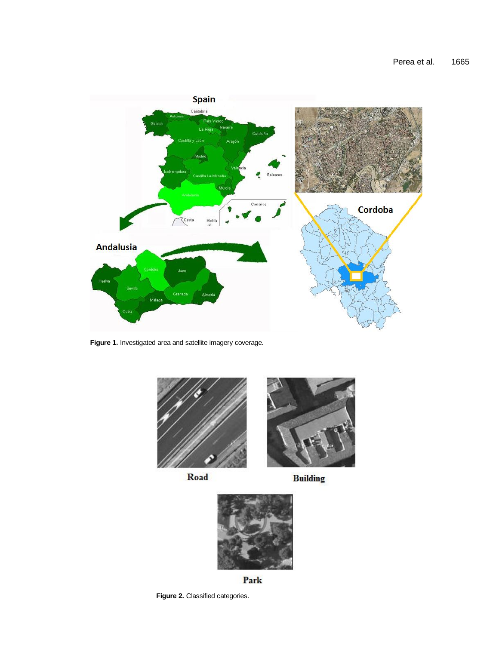

**Figure 1.** Investigated area and satellite imagery coverage.



Road

**Building** 



Park

**Figure 2.** Classified categories.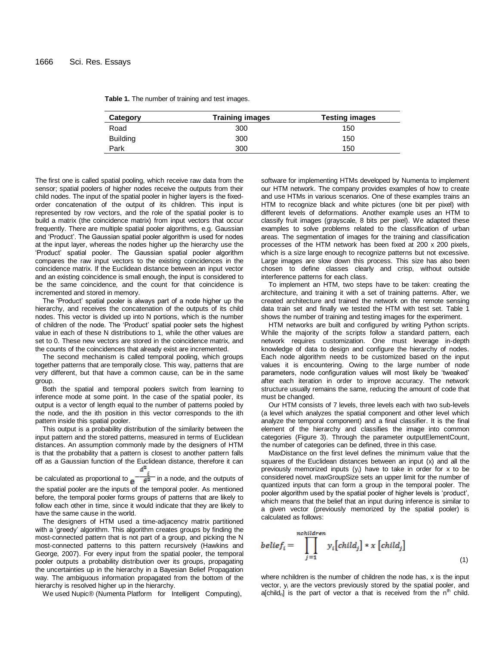| <b>Training images</b> | <b>Testing images</b> |
|------------------------|-----------------------|
| 300                    | 150                   |
| 300                    | 150                   |
| 300                    | 150                   |
|                        |                       |

**Table 1.** The number of training and test images.

The first one is called spatial pooling, which receive raw data from the sensor; spatial poolers of higher nodes receive the outputs from their child nodes. The input of the spatial pooler in higher layers is the fixedorder concatenation of the output of its children. This input is represented by row vectors, and the role of the spatial pooler is to build a matrix (the coincidence matrix) from input vectors that occur frequently. There are multiple spatial pooler algorithms, e.g. Gaussian and 'Product'. The Gaussian spatial pooler algorithm is used for nodes at the input layer, whereas the nodes higher up the hierarchy use the 'Product' spatial pooler. The Gaussian spatial pooler algorithm compares the raw input vectors to the existing coincidences in the coincidence matrix. If the Euclidean distance between an input vector and an existing coincidence is small enough, the input is considered to be the same coincidence, and the count for that coincidence is incremented and stored in memory.

The 'Product' spatial pooler is always part of a node higher up the hierarchy, and receives the concatenation of the outputs of its child nodes. This vector is divided up into N portions, which is the number of children of the node. The 'Product' spatial pooler sets the highest value in each of these N distributions to 1, while the other values are set to 0. These new vectors are stored in the coincidence matrix, and the counts of the coincidences that already exist are incremented.

The second mechanism is called temporal pooling, which groups together patterns that are temporally close. This way, patterns that are very different, but that have a common cause, can be in the same group.

Both the spatial and temporal poolers switch from learning to inference mode at some point. In the case of the spatial pooler, its output is a vector of length equal to the number of patterns pooled by the node, and the ith position in this vector corresponds to the ith pattern inside this spatial pooler.

This output is a probability distribution of the similarity between the input pattern and the stored patterns, measured in terms of Euclidean distances. An assumption commonly made by the designers of HTM is that the probability that a pattern is closest to another pattern falls off as a Gaussian function of the Euclidean distance, therefore it can  $d^2$ 

be calculated as proportional to  $e^{-\frac{1}{\theta^2}}$  in a node, and the outputs of the spatial pooler are the inputs of the temporal pooler. As mentioned before, the temporal pooler forms groups of patterns that are likely to follow each other in time, since it would indicate that they are likely to have the same cause in the world.

The designers of HTM used a time-adjacency matrix partitioned with a 'greedy' algorithm. This algorithm creates groups by finding the most-connected pattern that is not part of a group, and picking the N most-connected patterns to this pattern recursively (Hawkins and George, 2007). For every input from the spatial pooler, the temporal pooler outputs a probability distribution over its groups, propagating the uncertainties up in the hierarchy in a Bayesian Belief Propagation way. The ambiguous information propagated from the bottom of the hierarchy is resolved higher up in the hierarchy.

We used Nupic® (Numenta Platform for Intelligent Computing),

software for implementing HTMs developed by Numenta to implement our HTM network. The company provides examples of how to create and use HTMs in various scenarios. One of these examples trains an HTM to recognize black and white pictures (one bit per pixel) with different levels of deformations. Another example uses an HTM to classify fruit images (grayscale, 8 bits per pixel). We adapted these examples to solve problems related to the classification of urban areas. The segmentation of images for the training and classification processes of the HTM network has been fixed at 200 x 200 pixels, which is a size large enough to recognize patterns but not excessive. Large images are slow down this process. This size has also been chosen to define classes clearly and crisp, without outside interference patterns for each class.

To implement an HTM, two steps have to be taken: creating the architecture, and training it with a set of training patterns. After, we created architecture and trained the network on the remote sensing data train set and finally we tested the HTM with test set. Table 1 shows the number of training and testing images for the experiment.

HTM networks are built and configured by writing Python scripts. While the majority of the scripts follow a standard pattern, each network requires customization. One must leverage in-depth knowledge of data to design and configure the hierarchy of nodes. Each node algorithm needs to be customized based on the input values it is encountering. Owing to the large number of node parameters, node configuration values will most likely be 'tweaked' after each iteration in order to improve accuracy. The network structure usually remains the same, reducing the amount of code that must be changed.

Our HTM consists of 7 levels, three levels each with two sub-levels (a level which analyzes the spatial component and other level which analyze the temporal component) and a final classifier. It is the final element of the hierarchy and classifies the image into common categories (Figure 3). Through the parameter outputElementCount, the number of categories can be defined, three in this case.

MaxDistance on the first level defines the minimum value that the squares of the Euclidean distances between an input (x) and all the previously memorized inputs (yi) have to take in order for x to be considered novel. maxGroupSize sets an upper limit for the number of quantized inputs that can form a group in the temporal pooler. The pooler algorithm used by the spatial pooler of higher levels is 'product', which means that the belief that an input during inference is similar to a given vector (previously memorized by the spatial pooler) is calculated as follows:

$$
belief_i = \prod_{j=1}^{nehilaren} y_i[child_j] * x [child_j]
$$
\n(1)

where nchildren is the number of children the node has, x is the input vector, y<sup>i</sup> are the vectors previously stored by the spatial pooler, and a[child<sub>n</sub>] is the part of vector a that is received from the  $n^{th}$  child.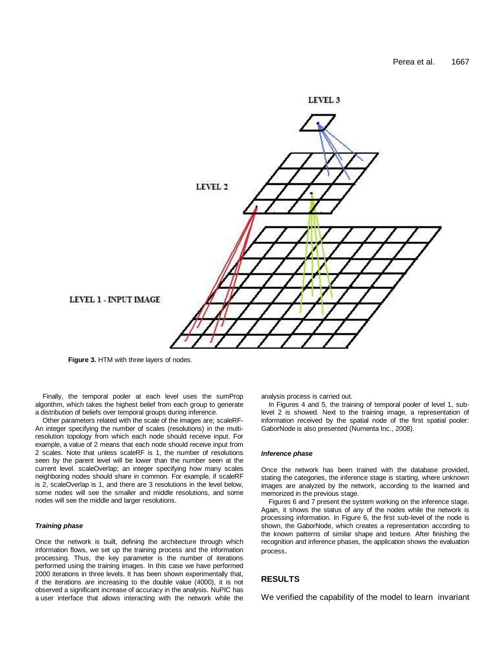

**Figure 3.** HTM with three layers of nodes.

Finally, the temporal pooler at each level uses the sumProp algorithm, which takes the highest belief from each group to generate a distribution of beliefs over temporal groups during inference.

Other parameters related with the scale of the images are; scaleRF-An integer specifying the number of scales (resolutions) in the multiresolution topology from which each node should receive input. For example, a value of 2 means that each node should receive input from 2 scales. Note that unless scaleRF is 1, the number of resolutions seen by the parent level will be lower than the number seen at the current level. scaleOverlap; an integer specifying how many scales neighboring nodes should share in common. For example, if scaleRF is 2, scaleOverlap is 1, and there are 3 resolutions in the level below, some nodes will see the smaller and middle resolutions, and some nodes will see the middle and larger resolutions.

#### *Training phase*

Once the network is built, defining the architecture through which information flows, we set up the training process and the information processing. Thus, the key parameter is the number of iterations performed using the training images. In this case we have performed 2000 iterations in three levels. It has been shown experimentally that, if the iterations are increasing to the double value (4000), it is not observed a significant increase of accuracy in the analysis. NuPIC has a user interface that allows interacting with the network while the analysis process is carried out.

In Figures 4 and 5, the training of temporal pooler of level 1, sublevel 2 is showed. Next to the training image, a representation of information received by the spatial node of the first spatial pooler: GaborNode is also presented (Numenta Inc., 2008).

#### *Inference phase*

Once the network has been trained with the database provided, stating the categories, the inference stage is starting, where unknown images are analyzed by the network, according to the learned and memorized in the previous stage.

Figures 6 and 7 present the system working on the inference stage. Again, it shows the status of any of the nodes while the network is processing information. In Figure 6, the first sub-level of the node is shown, the GaborNode, which creates a representation according to the known patterns of similar shape and texture. After finishing the recognition and inference phases, the application shows the evaluation process.

### **RESULTS**

We verified the capability of the model to learn invariant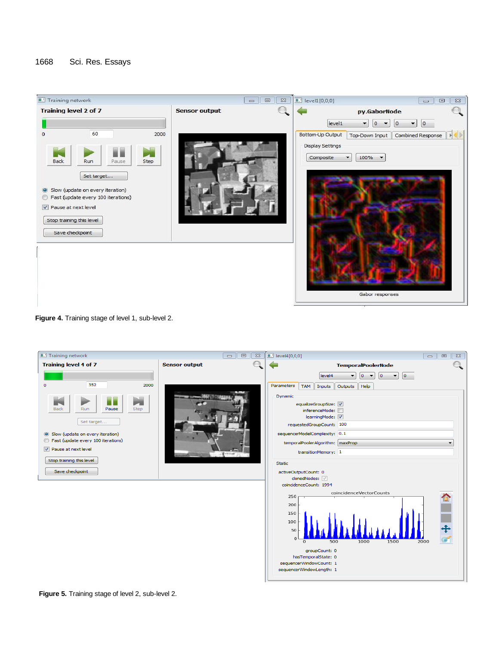

**Figure 4.** Training stage of level 1, sub-level 2.

| Training network                                                                                                                                                                                                                           | $\Sigma$<br>$\Box$<br>$\Box$ | $\Box$ level4[0,0,0]<br>$\Sigma\!3$<br>$\Box$<br>$\qquad \qquad \Box$                                                                                                                                                                                                                                                                                                                                                                                                                                                                                                                       |
|--------------------------------------------------------------------------------------------------------------------------------------------------------------------------------------------------------------------------------------------|------------------------------|---------------------------------------------------------------------------------------------------------------------------------------------------------------------------------------------------------------------------------------------------------------------------------------------------------------------------------------------------------------------------------------------------------------------------------------------------------------------------------------------------------------------------------------------------------------------------------------------|
| <b>Training level 4 of 7</b>                                                                                                                                                                                                               | <b>Sensor output</b>         | <b>TemporalPoolerNode</b>                                                                                                                                                                                                                                                                                                                                                                                                                                                                                                                                                                   |
| 352<br>2000<br>$\Omega$<br>N<br><b>Back</b><br>Pause<br>Step<br>Run<br>Set target<br>Slow (update on every iteration)<br>Fast (update every 100 iterations)<br><b>▽</b> Pause at next level<br>Stop training this level<br>Save checkpoint |                              | $\overline{\phantom{a}}$<br>level4<br>o<br>$\overline{\mathbf{0}}$<br>$\overline{\phantom{a}}$<br>$\blacktriangledown$<br>۰<br>Parameters<br>Outputs<br>Help<br>Inputs<br><b>TAM</b><br>Dynamic<br>equalizeGroupSize:<br>inferenceMode:<br>learningMode: V<br>requestedGroupCount: 100<br>sequencerModelComplexity: 0.1<br>temporalPoolerAlgorithm:   maxProp<br>transitionMemory: 1<br>Static<br>activeOutputCount: 0<br>clonedNodes: V<br>coincidenceCount: 1994<br>coincidenceVectorCounts<br>250<br>200<br>150<br>100<br>50<br>$\Omega$<br>500<br>1000<br>1500<br>2000<br>groupCount: 0 |
|                                                                                                                                                                                                                                            |                              | hasTemporalState: 0<br>sequencerWindowCount: 1                                                                                                                                                                                                                                                                                                                                                                                                                                                                                                                                              |
|                                                                                                                                                                                                                                            |                              | sequencerWindowLength: 1                                                                                                                                                                                                                                                                                                                                                                                                                                                                                                                                                                    |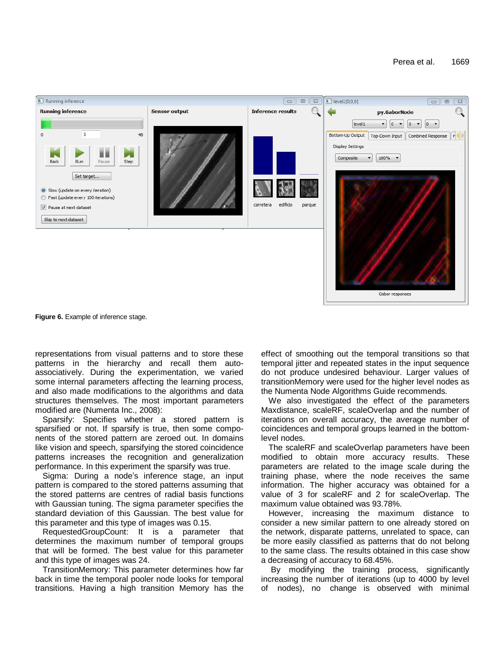

**Figure 6.** Example of inference stage.

representations from visual patterns and to store these patterns in the hierarchy and recall them autoassociatively. During the experimentation, we varied some internal parameters affecting the learning process, and also made modifications to the algorithms and data structures themselves. The most important parameters modified are (Numenta Inc., 2008):

Sparsify: Specifies whether a stored pattern is sparsified or not. If sparsify is true, then some components of the stored pattern are zeroed out. In domains like vision and speech, sparsifying the stored coincidence patterns increases the recognition and generalization performance. In this experiment the sparsify was true.

Sigma: During a node's inference stage, an input pattern is compared to the stored patterns assuming that the stored patterns are centres of radial basis functions with Gaussian tuning. The sigma parameter specifies the standard deviation of this Gaussian. The best value for this parameter and this type of images was 0.15.

RequestedGroupCount: It is a parameter that determines the maximum number of temporal groups that will be formed. The best value for this parameter and this type of images was 24.

TransitionMemory: This parameter determines how far back in time the temporal pooler node looks for temporal transitions. Having a high transition Memory has the effect of smoothing out the temporal transitions so that temporal jitter and repeated states in the input sequence do not produce undesired behaviour. Larger values of transitionMemory were used for the higher level nodes as the Numenta Node Algorithms Guide recommends.

We also investigated the effect of the parameters Maxdistance, scaleRF, scaleOverlap and the number of iterations on overall accuracy, the average number of coincidences and temporal groups learned in the bottomlevel nodes.

The scaleRF and scaleOverlap parameters have been modified to obtain more accuracy results. These parameters are related to the image scale during the training phase, where the node receives the same information. The higher accuracy was obtained for a value of 3 for scaleRF and 2 for scaleOverlap. The maximum value obtained was 93.78%.

However, increasing the maximum distance to consider a new similar pattern to one already stored on the network, disparate patterns, unrelated to space, can be more easily classified as patterns that do not belong to the same class. The results obtained in this case show a decreasing of accuracy to 68.45%.

By modifying the training process, significantly increasing the number of iterations (up to 4000 by level of nodes), no change is observed with minimal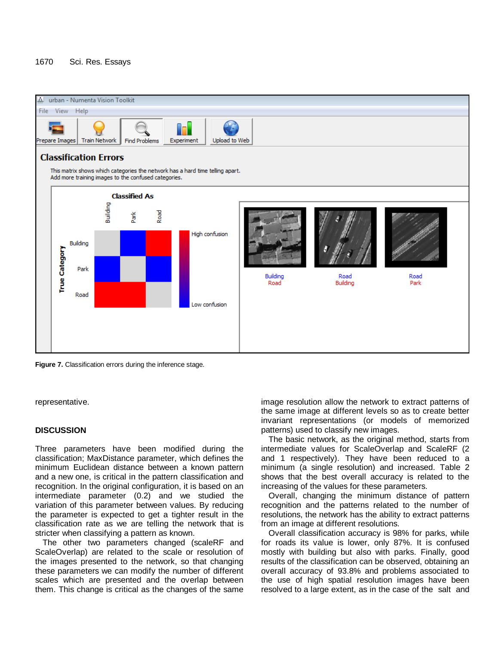# 1670 Sci. Res. Essays



**Figure 7.** Classification errors during the inference stage.

representative.

# **DISCUSSION**

Three parameters have been modified during the classification; MaxDistance parameter, which defines the minimum Euclidean distance between a known pattern and a new one, is critical in the pattern classification and recognition. In the original configuration, it is based on an intermediate parameter (0.2) and we studied the variation of this parameter between values. By reducing the parameter is expected to get a tighter result in the classification rate as we are telling the network that is stricter when classifying a pattern as known.

The other two parameters changed (scaleRF and ScaleOverlap) are related to the scale or resolution of the images presented to the network, so that changing these parameters we can modify the number of different scales which are presented and the overlap between them. This change is critical as the changes of the same image resolution allow the network to extract patterns of the same image at different levels so as to create better invariant representations (or models of memorized patterns) used to classify new images.

The basic network, as the original method, starts from intermediate values for ScaleOverlap and ScaleRF (2 and 1 respectively). They have been reduced to a minimum (a single resolution) and increased. Table 2 shows that the best overall accuracy is related to the increasing of the values for these parameters.

Overall, changing the minimum distance of pattern recognition and the patterns related to the number of resolutions, the network has the ability to extract patterns from an image at different resolutions.

Overall classification accuracy is 98% for parks, while for roads its value is lower, only 87%. It is confused mostly with building but also with parks. Finally, good results of the classification can be observed, obtaining an overall accuracy of 93.8% and problems associated to the use of high spatial resolution images have been resolved to a large extent, as in the case of the salt and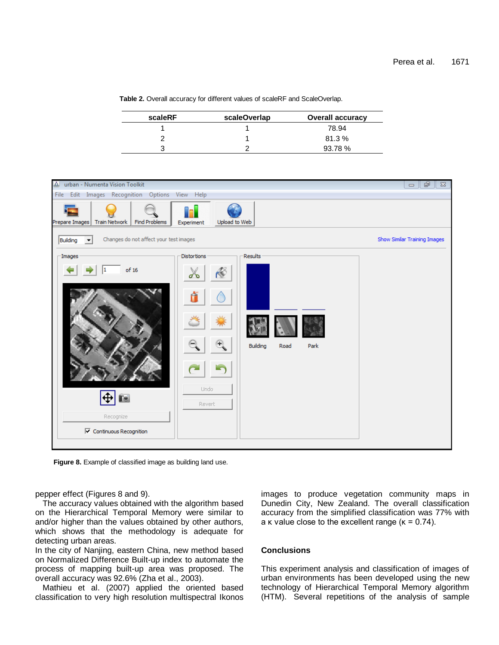**Table 2.** Overall accuracy for different values of scaleRF and ScaleOverlap.

| scaleRF | scaleOverlap | <b>Overall accuracy</b> |  |
|---------|--------------|-------------------------|--|
|         |              | 78.94                   |  |
|         |              | 81.3%                   |  |
|         |              | 93.78 %                 |  |



Figure 8. Example of classified image as building land use.

pepper effect (Figures 8 and 9).

The accuracy values obtained with the algorithm based on the Hierarchical Temporal Memory were similar to and/or higher than the values obtained by other authors, which shows that the methodology is adequate for detecting urban areas.

In the city of Nanjing, eastern China, new method based on Normalized Difference Built-up index to automate the process of mapping built-up area was proposed. The overall accuracy was 92.6% (Zha et al., 2003).

Mathieu et al. (2007) applied the oriented based classification to very high resolution multispectral Ikonos images to produce vegetation community maps in Dunedin City, New Zealand. The overall classification accuracy from the simplified classification was 77% with a  $\kappa$  value close to the excellent range ( $\kappa = 0.74$ ).

# **Conclusions**

This experiment analysis and classification of images of urban environments has been developed using the new technology of Hierarchical Temporal Memory algorithm (HTM). Several repetitions of the analysis of sample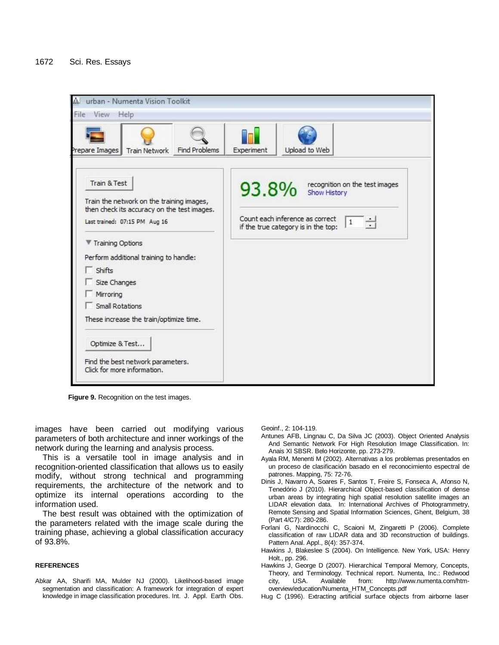**Figure 9.** Recognition on the test images.

images have been carried out modifying various parameters of both architecture and inner workings of the network during the learning and analysis process.

This is a versatile tool in image analysis and in recognition-oriented classification that allows us to easily modify, without strong technical and programming requirements, the architecture of the network and to optimize its internal operations according to the information used.

The best result was obtained with the optimization of the parameters related with the image scale during the training phase, achieving a global classification accuracy of 93.8%.

#### **REFERENCES**

Abkar AA, Sharifi MA, Mulder NJ (2000). Likelihood-based image segmentation and classification: A framework for integration of expert knowledge in image classification procedures. Int. J. Appl. Earth Obs. Geoinf., 2: 104-119.

- Antunes AFB, Lingnau C, Da Silva JC (2003). Object Oriented Analysis And Semantic Network For High Resolution Image Classification. In: Anais XI SBSR. Belo Horizonte, pp. 273-279.
- Ayala RM, Menenti M (2002). Alternativas a los problemas presentados en un proceso de clasificación basado en el reconocimiento espectral de patrones. Mapping, 75: 72-76.
- Dinis J, Navarro A, Soares F, Santos T, Freire S, Fonseca A, Afonso N, Tenedório J (2010). Hierarchical Object-based classification of dense urban areas by integrating high spatial resolution satellite images an LIDAR elevation data. In: International Archives of Photogrammetry, Remote Sensing and Spatial Information Sciences, Ghent, Belgium, 38 (Part 4/C7): 280-286.
- Forlani G, Nardinocchi C, Scaioni M, Zingaretti P (2006). Complete classification of raw LIDAR data and 3D reconstruction of buildings. Pattern Anal. Appl., 8(4): 357-374.
- Hawkins J, Blakeslee S (2004). On Intelligence. New York, USA: Henry Holt., pp. 296.
- Hawkins J, George D (2007). Hierarchical Temporal Memory, Concepts, Theory, and Terminology*.* Technical report. Numenta, Inc.: Redwood city, USA. Available from: http://www.numenta.com/htmoverview/education/Numenta\_HTM\_Concepts.pdf
- Hug C (1996). Extracting artificial surface objects from airborne laser